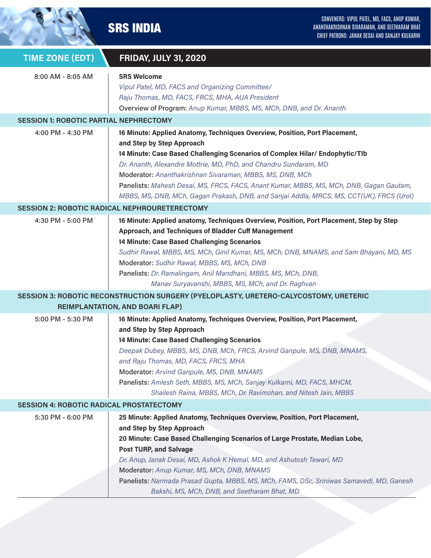|                                                 | CONVENERS: VIPUL PATEL, MD, FACS, ANUP KUMAR,<br><b>SRS INDIA</b><br>ANANTHAKRISHNAN SIVARAMAN, AND SEETHARAM BHAT<br>CHIEF PATRONS: JANAK DESAI AND SANJAY KULKARNI                                                                                                                                                                                                                                                                                                                                           |  |  |  |
|-------------------------------------------------|----------------------------------------------------------------------------------------------------------------------------------------------------------------------------------------------------------------------------------------------------------------------------------------------------------------------------------------------------------------------------------------------------------------------------------------------------------------------------------------------------------------|--|--|--|
| <b>TIME ZONE (EDT)</b>                          | <b>FRIDAY, JULY 31, 2020</b>                                                                                                                                                                                                                                                                                                                                                                                                                                                                                   |  |  |  |
| 8:00 AM - 8:05 AM                               | <b>SRS Welcome</b><br>Vipul Patel, MD, FACS and Organizing Committee/<br>Raju Thomas, MD, FACS, FRCS, MHA, AUA President<br>Overview of Program: Anup Kumar, MBBS, MS, MCh, DNB, and Dr. Ananth                                                                                                                                                                                                                                                                                                                |  |  |  |
| <b>SESSION 1: ROBOTIC PARTIAL NEPHRECTOMY</b>   |                                                                                                                                                                                                                                                                                                                                                                                                                                                                                                                |  |  |  |
| 4:00 PM - 4:30 PM                               | 16 Minute: Applied Anatomy, Techniques Overview, Position, Port Placement,<br>and Step by Step Approach<br>14 Minute: Case Based Challenging Scenarios of Complex Hilar/ Endophytic/T1b<br>Dr. Ananth, Alexandre Mottrie, MD, PhD, and Chandru Sundaram, MD<br>Moderator: Ananthakrishnan Sivaraman, MBBS, MS, DNB, MCh<br>Panelists: Mahesh Desai, MS, FRCS, FACS, Anant Kumar, MBBS, MS, MCh, DNB, Gagan Gautam,<br>MBBS, MS, DNB, MCh, Gagan Prakash, DNB, and Sanjai Addla, MRCS, MS, CCT(UK), FRCS (Urol) |  |  |  |
|                                                 | <b>SESSION 2: ROBOTIC RADICAL NEPHROURETERECTOMY</b>                                                                                                                                                                                                                                                                                                                                                                                                                                                           |  |  |  |
| 4:30 PM - 5:00 PM                               | 16 Minute: Applied anatomy, Techniques Overview, Position, Port Placement, Step by Step<br>Approach, and Techniques of Bladder Cuff Management<br>14 Minute: Case Based Challenging Scenarios<br>Sudhir Rawal, MBBS, MS, MCh, Ginil Kumar, MS, MCh, DNB, MNAMS, and Sam Bhayani, MD, MS<br>Moderator: Sudhir Rawal, MBBS, MS, MCh, DNB<br>Panelists: Dr. Ramalingam, Anil Mandhani, MBBS, MS, MCh, DNB,<br>Manav Suryavanshi, MBBS, MS, MCh, and Dr. Raghvan                                                   |  |  |  |
|                                                 | SESSION 3: ROBOTIC RECONSTRUCTION SURGERY (PYELOPLASTY, URETERO-CALYCOSTOMY, URETERIC                                                                                                                                                                                                                                                                                                                                                                                                                          |  |  |  |
| <b>REIMPLANTATION, AND BOARI FLAP)</b>          |                                                                                                                                                                                                                                                                                                                                                                                                                                                                                                                |  |  |  |
| 5:00 PM - 5:30 PM                               | 16 Minute: Applied Anatomy, Techniques Overview, Position, Port Placement,<br>and Step by Step Approach<br>14 Minute: Case Based Challenging Scenarios<br>Deepak Dubey, MBBS, MS, DNB, MCh, FRCS, Arvind Ganpule, MS, DNB, MNAMS,<br>and Raju Thomas, MD, FACS, FRCS, MHA<br>Moderator: Arvind Ganpule, MS, DNB, MNAMS<br>Panelists: Amlesh Seth, MBBS, MS, MCh, Sanjay Kulkarni, MD, FACS, MHCM,<br>Shailesh Raina, MBBS, MCh, Dr. Ravimohan, and Nitesh Jain, MBBS                                           |  |  |  |
| <b>SESSION 4: ROBOTIC RADICAL PROSTATECTOMY</b> |                                                                                                                                                                                                                                                                                                                                                                                                                                                                                                                |  |  |  |
| 5:30 PM - 6:00 PM                               | 25 Minute: Applied Anatomy, Techniques Overview, Position, Port Placement,<br>and Step by Step Approach<br>20 Minute: Case Based Challenging Scenarios of Large Prostate, Median Lobe,<br><b>Post TURP, and Salvage</b><br>Dr. Anup, Janak Desai, MD, Ashok K Hemal, MD, and Ashutosh Tewari, MD<br>Moderator: Anup Kumar, MS, MCh, DNB, MNAMS<br>Panelists: Narmada Prasad Gupta, MBBS, MS, MCh, FAMS, DSc, Sriniwas Samavedi, MD, Ganesh<br>Bakshi, MS, MCh, DNB, and Seetharam Bhat, MD                     |  |  |  |